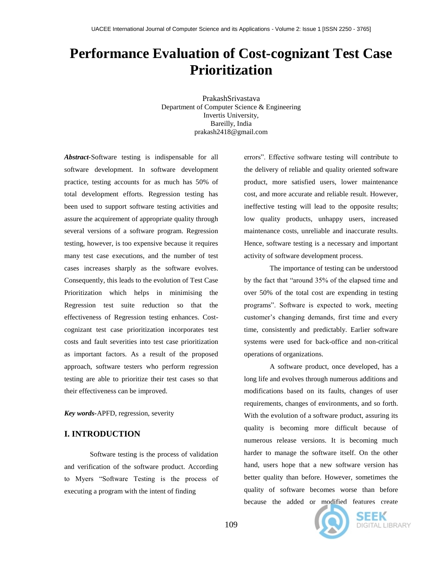# **Performance Evaluation of Cost-cognizant Test Case Prioritization**

PrakashSrivastava Department of Computer Science & Engineering Invertis University, Bareilly, India prakash2418@gmail.com

*Abstract-*Software testing is indispensable for all software development. In software development practice, testing accounts for as much has 50% of total development efforts. Regression testing has been used to support software testing activities and assure the acquirement of appropriate quality through several versions of a software program. Regression testing, however, is too expensive because it requires many test case executions, and the number of test cases increases sharply as the software evolves. Consequently, this leads to the evolution of Test Case Prioritization which helps in minimising the Regression test suite reduction so that the effectiveness of Regression testing enhances. Costcognizant test case prioritization incorporates test costs and fault severities into test case prioritization as important factors. As a result of the proposed approach, software testers who perform regression testing are able to prioritize their test cases so that their effectiveness can be improved.

*Key words-*APFD, regression, severity

### **I. INTRODUCTION**

Software testing is the process of validation and verification of the software product. According to Myers "Software Testing is the process of executing a program with the intent of finding

errors". Effective software testing will contribute to the delivery of reliable and quality oriented software product, more satisfied users, lower maintenance cost, and more accurate and reliable result. However, ineffective testing will lead to the opposite results; low quality products, unhappy users, increased maintenance costs, unreliable and inaccurate results. Hence, software testing is a necessary and important activity of software development process.

The importance of testing can be understood by the fact that "around 35% of the elapsed time and over 50% of the total cost are expending in testing programs". Software is expected to work, meeting customer's changing demands, first time and every time, consistently and predictably. Earlier software systems were used for back-office and non-critical operations of organizations.

A software product, once developed, has a long life and evolves through numerous additions and modifications based on its faults, changes of user requirements, changes of environments, and so forth. With the evolution of a software product, assuring its quality is becoming more difficult because of numerous release versions. It is becoming much harder to manage the software itself. On the other hand, users hope that a new software version has better quality than before. However, sometimes the quality of software becomes worse than before because the added or modified features create



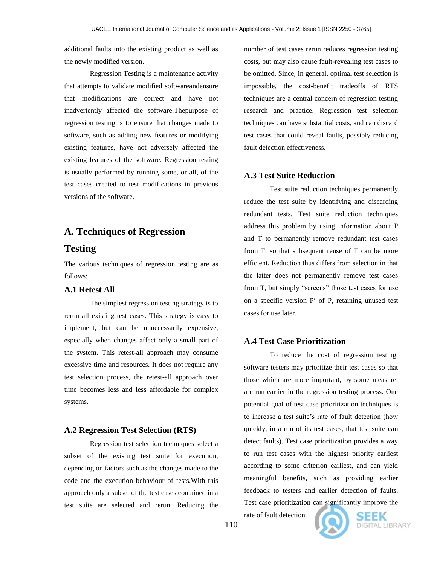additional faults into the existing product as well as the newly modified version.

Regression Testing is a maintenance activity that attempts to validate modified softwareandensure that modifications are correct and have not inadvertently affected the software.Thepurpose of regression testing is to ensure that changes made to software, such as adding new features or modifying existing features, have not adversely affected the existing features of the software. Regression testing is usually performed by running some, or all, of the test cases created to test modifications in previous versions of the software.

# **A. Techniques of Regression**

# **Testing**

The various techniques of regression testing are as follows:

#### **A.1 Retest All**

The simplest regression testing strategy is to rerun all existing test cases. This strategy is easy to implement, but can be unnecessarily expensive, especially when changes affect only a small part of the system. This retest-all approach may consume excessive time and resources. It does not require any test selection process, the retest-all approach over time becomes less and less affordable for complex systems.

#### **A.2 Regression Test Selection (RTS)**

Regression test selection techniques select a subset of the existing test suite for execution, depending on factors such as the changes made to the code and the execution behaviour of tests.With this approach only a subset of the test cases contained in a test suite are selected and rerun. Reducing the number of test cases rerun reduces regression testing costs, but may also cause fault-revealing test cases to be omitted. Since, in general, optimal test selection is impossible, the cost-benefit tradeoffs of RTS techniques are a central concern of regression testing research and practice. Regression test selection techniques can have substantial costs, and can discard test cases that could reveal faults, possibly reducing fault detection effectiveness.

### **A.3 Test Suite Reduction**

Test suite reduction techniques permanently reduce the test suite by identifying and discarding redundant tests. Test suite reduction techniques address this problem by using information about P and T to permanently remove redundant test cases from T, so that subsequent reuse of T can be more efficient. Reduction thus differs from selection in that the latter does not permanently remove test cases from T, but simply "screens" those test cases for use on a specific version  $P'$  of P, retaining unused test cases for use later.

### **A.4 Test Case Prioritization**

To reduce the cost of regression testing, software testers may prioritize their test cases so that those which are more important, by some measure, are run earlier in the regression testing process. One potential goal of test case prioritization techniques is to increase a test suite's rate of fault detection (how quickly, in a run of its test cases, that test suite can detect faults). Test case prioritization provides a way to run test cases with the highest priority earliest according to some criterion earliest, and can yield meaningful benefits, such as providing earlier feedback to testers and earlier detection of faults. Test case prioritization can significantly improve the

rate of fault detection.



110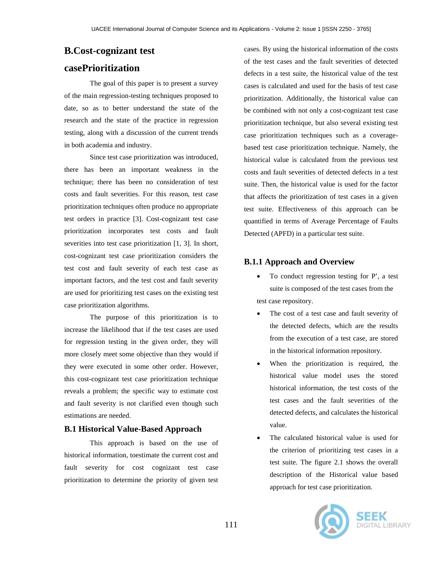# **B.Cost-cognizant test**

# **casePrioritization**

The goal of this paper is to present a survey of the main regression-testing techniques proposed to date, so as to better understand the state of the research and the state of the practice in regression testing, along with a discussion of the current trends in both academia and industry.

Since test case prioritization was introduced, there has been an important weakness in the technique; there has been no consideration of test costs and fault severities. For this reason, test case prioritization techniques often produce no appropriate test orders in practice [3]. Cost-cognizant test case prioritization incorporates test costs and fault severities into test case prioritization [1, 3]. In short, cost-cognizant test case prioritization considers the test cost and fault severity of each test case as important factors, and the test cost and fault severity are used for prioritizing test cases on the existing test case prioritization algorithms.

The purpose of this prioritization is to increase the likelihood that if the test cases are used for regression testing in the given order, they will more closely meet some objective than they would if they were executed in some other order. However, this cost-cognizant test case prioritization technique reveals a problem; the specific way to estimate cost and fault severity is not clarified even though such estimations are needed.

## **B.1 Historical Value-Based Approach**

This approach is based on the use of historical information, toestimate the current cost and fault severity for cost cognizant test case prioritization to determine the priority of given test

cases. By using the historical information of the costs of the test cases and the fault severities of detected defects in a test suite, the historical value of the test cases is calculated and used for the basis of test case prioritization. Additionally, the historical value can be combined with not only a cost-cognizant test case prioritization technique, but also several existing test case prioritization techniques such as a coveragebased test case prioritization technique. Namely, the historical value is calculated from the previous test costs and fault severities of detected defects in a test suite. Then, the historical value is used for the factor that affects the prioritization of test cases in a given test suite. Effectiveness of this approach can be quantified in terms of Average Percentage of Faults Detected (APFD) in a particular test suite.

# **B.1.1 Approach and Overview**

- To conduct regression testing for P', a test suite is composed of the test cases from the test case repository.
- The cost of a test case and fault severity of the detected defects, which are the results from the execution of a test case, are stored in the historical information repository.
- When the prioritization is required, the historical value model uses the stored historical information, the test costs of the test cases and the fault severities of the detected defects, and calculates the historical value.
- The calculated historical value is used for the criterion of prioritizing test cases in a test suite. The figure 2.1 shows the overall description of the Historical value based approach for test case prioritization.

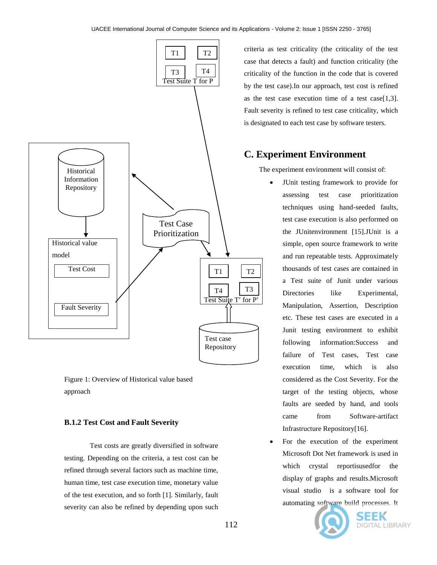

Figure 1: Overview of Historical value based approach

#### **B.1.2 Test Cost and Fault Severity**

Test costs are greatly diversified in software testing. Depending on the criteria, a test cost can be refined through several factors such as machine time, human time, test case execution time, monetary value of the test execution, and so forth [1]. Similarly, fault severity can also be refined by depending upon such

criteria as test criticality (the criticality of the test case that detects a fault) and function criticality (the criticality of the function in the code that is covered by the test case).In our approach, test cost is refined as the test case execution time of a test case[1,3]. Fault severity is refined to test case criticality, which is designated to each test case by software testers.

# **C. Experiment Environment**

The experiment environment will consist of:

- JUnit testing framework to provide for assessing test case prioritization techniques using hand-seeded faults, test case execution is also performed on the JUnitenvironment [15].JUnit is a simple, open source framework to write and run repeatable tests. Approximately thousands of test cases are contained in a Test suite of Junit under various Directories like Experimental, Manipulation, Assertion, Description etc. These test cases are executed in a Junit testing environment to exhibit following information:Success and failure of Test cases, Test case execution time, which is also considered as the Cost Severity. For the target of the testing objects, whose faults are seeded by hand, and tools came from Software-artifact Infrastructure Repository[16].
- For the execution of the experiment Microsoft Dot Net framework is used in which crystal reportisusedfor the display of graphs and results.Microsoft visual studio is a software tool for automating software build processes. It



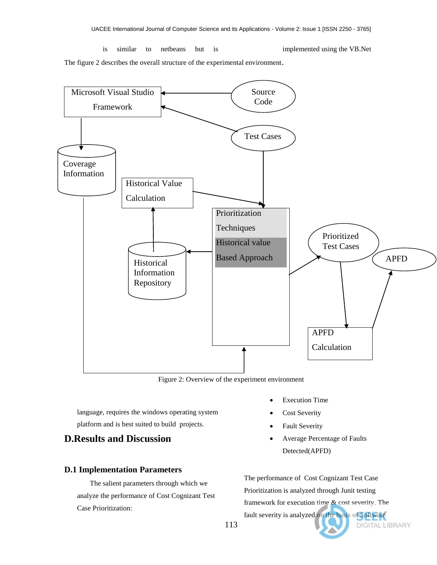is similar to netbeans but is implemented using the VB.Net

The figure 2 describes the overall structure of the experimental environment.



Figure 2: Overview of the experiment environment

language, requires the windows operating system platform and is best suited to build projects.

# **D.Results and Discussion**

## **D.1 Implementation Parameters**

The salient parameters through which we analyze the performance of Cost Cognizant Test Case Prioritization:

- Execution Time
	- Cost Severity
	- Fault Severity
	- Average Percentage of Faults Detected(APFD)

The performance of Cost Cognizant Test Case Prioritization is analyzed through Junit testing framework for execution time & cost severity. The fault severity is analyzed on the basis of Software DIGITAL LIBRARY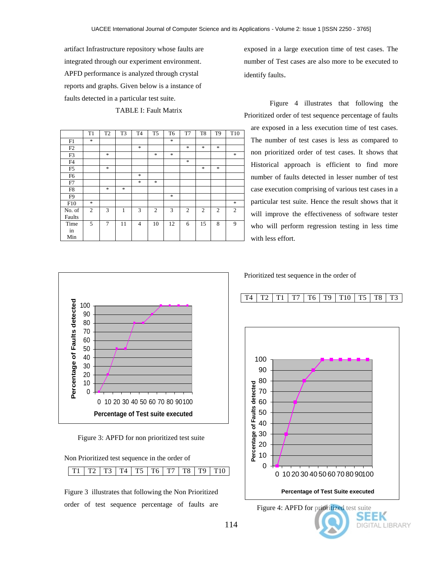artifact Infrastructure repository whose faults are integrated through our experiment environment. APFD performance is analyzed through crystal reports and graphs. Given below is a instance of faults detected in a particular test suite.

TABLE I: Fault Matrix

|                | T1             | T <sub>2</sub> | T <sub>3</sub> | T <sub>4</sub> | T <sub>5</sub> | T <sub>6</sub> | T7             | T <sub>8</sub> | T <sub>9</sub> | T <sub>10</sub> |
|----------------|----------------|----------------|----------------|----------------|----------------|----------------|----------------|----------------|----------------|-----------------|
| F1             | $\ast$         |                |                |                |                | $\ast$         |                |                |                |                 |
| F2             |                |                |                | $\ast$         |                |                | $\ast$         | $\ast$         | *              |                 |
| F3             |                | $\ast$         |                |                | *              | $\ast$         |                |                |                | *               |
| F <sub>4</sub> |                |                |                |                |                |                | $\ast$         |                |                |                 |
| F <sub>5</sub> |                | $\ast$         |                |                |                |                |                | $\ast$         | $\frac{1}{2}$  |                 |
| F <sub>6</sub> |                |                |                | $\ast$         |                |                |                |                |                |                 |
| F7             |                |                |                | $\ast$         | *              |                |                |                |                |                 |
| F8             |                | $\ast$         | *              |                |                |                |                |                |                |                 |
| F <sub>9</sub> |                |                |                |                |                | $\ast$         |                |                |                |                 |
| F10            | $\ast$         |                |                |                |                |                |                |                |                | *               |
| No. of         | $\overline{c}$ | 3              | 1              | 3              | $\overline{c}$ | 3              | $\overline{c}$ | $\overline{2}$ | $\overline{c}$ | 2               |
| Faults         |                |                |                |                |                |                |                |                |                |                 |
| Time           | 5              | 7              | 11             | $\overline{4}$ | 10             | 12             | 6              | 15             | 8              | 9               |
| in             |                |                |                |                |                |                |                |                |                |                 |
| Min            |                |                |                |                |                |                |                |                |                |                 |

exposed in a large execution time of test cases. The number of Test cases are also more to be executed to identify faults.

Figure 4 illustrates that following the Prioritized order of test sequence percentage of faults are exposed in a less execution time of test cases. The number of test cases is less as compared to non prioritized order of test cases. It shows that Historical approach is efficient to find more number of faults detected in lesser number of test case execution comprising of various test cases in a particular test suite. Hence the result shows that it will improve the effectiveness of software tester who will perform regression testing in less time with less effort.



Prioritized test sequence in the order of



T4 | T2 | T1 | T7 | T6 | T9 | T10 | T5 | T8 | T3

0 10 20 30 40 50 60 70 80 90100

**Percentage of Test Suite executed**

Figure 3: APFD for non prioritized test suite

0 10 20 30 40 50 60 70 80 90100 **Percentage of Test suite executed**

Non Prioritized test sequence in the order of

|  |  |  |  |  |  |  |  |  |  | T1   T2   T3   T4   T5   T6   T7   T8   T9   T10 |
|--|--|--|--|--|--|--|--|--|--|--------------------------------------------------|
|--|--|--|--|--|--|--|--|--|--|--------------------------------------------------|

Figure 3 illustrates that following the Non Prioritized order of test sequence percentage of faults are

Figure 4: APFD for prioritized test suite

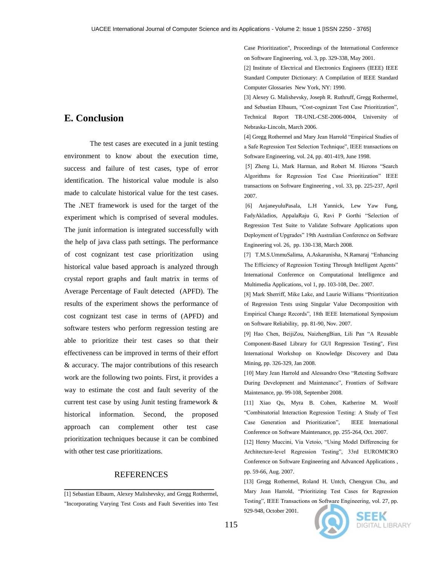## **E. Conclusion**

The test cases are executed in a junit testing environment to know about the execution time, success and failure of test cases, type of error identification. The historical value module is also made to calculate historical value for the test cases. The .NET framework is used for the target of the experiment which is comprised of several modules. The junit information is integrated successfully with the help of java class path settings. The performance of cost cognizant test case prioritization using historical value based approach is analyzed through crystal report graphs and fault matrix in terms of Average Percentage of Fault detected (APFD). The results of the experiment shows the performance of cost cognizant test case in terms of (APFD) and software testers who perform regression testing are able to prioritize their test cases so that their effectiveness can be improved in terms of their effort & accuracy. The major contributions of this research work are the following two points. First, it provides a way to estimate the cost and fault severity of the current test case by using Junit testing framework & historical information. Second, the proposed approach can complement other test case prioritization techniques because it can be combined with other test case prioritizations.

# **REFERENCES \_\_\_\_\_\_\_\_\_\_\_\_\_\_\_\_\_\_\_\_\_\_\_\_\_\_\_\_\_\_**

[1] Sebastian Elbaum, Alexey Malishevsky, and Gregg Rothermel, "Incorporating Varying Test Costs and Fault Severities into Test Case Prioritization", Proceedings of the International Conference on Software Engineering, vol. 3, pp. 329-338, May 2001.

[2] Institute of Electrical and Electronics Engineers (IEEE) IEEE Standard Computer Dictionary: A Compilation of IEEE Standard Computer Glossaries New York, NY: 1990.

[3] Alexey G. Malishevsky, Joseph R. Ruthruff, Gregg Rothermel, and Sebastian Elbaum, "Cost-cognizant Test Case Prioritization", Technical Report TR-UNL-CSE-2006-0004, University of Nebraska-Lincoln, March 2006.

[4] Gregg Rothermel and Mary Jean Harrold "Empirical Studies of a Safe Regression Test Selection Technique", IEEE transactions on Software Engineering, vol. 24, pp. 401-419, June 1998.

[5] Zheng Li, Mark Harman, and Robert M. Hierons "Search Algorithms for Regression Test Case Prioritization" IEEE transactions on Software Engineering , vol. 33, pp. 225-237, April 2007.

[6] AnjaneyuluPasala, L.H Yannick, Lew Yaw Fung, FadyAkladios, AppalaRaju G, Ravi P Gorthi "Selection of Regression Test Suite to Validate Software Applications upon Deployment of Upgrades" 19th Australian Conference on Software Engineering vol. 26, pp. 130-138, March 2008.

[7] T.M.S.UmmuSalima, A.Askarunisha, N.Ramaraj "Enhancing The Efficiency of Regression Testing Through Intelligent Agents" International Conference on Computational Intelligence and Multimedia Applications, vol 1, pp. 103-108, Dec. 2007.

[8] Mark Sherriff, Mike Lake, and Laurie Williams "Prioritization of Regression Tests using Singular Value Decomposition with Empirical Change Records", 18th IEEE International Symposium on Software Reliability, pp. 81-90, Nov. 2007.

[9] Hao Chen, BeijiZou, NaizhengBian, Lili Pan "A Reusable Component-Based Library for GUI Regression Testing", First International Workshop on Knowledge Discovery and Data Mining, pp. 326-329, Jan 2008.

[10] Mary Jean Harrold and Alessandro Orso "Retesting Software During Development and Maintenance", Frontiers of Software Maintenance, pp. 99-108, September 2008.

[11] Xiao Qu, Myra B. Cohen, Katherine M. Woolf "Combinatorial Interaction Regression Testing: A Study of Test Case Generation and Prioritization", IEEE International Conference on Software Maintenance, pp. 255-264, Oct. 2007.

[12] Henry Muccini, Via Vetoio, "Using Model Differencing for Architecture-level Regression Testing", 33rd EUROMICRO Conference on Software Engineering and Advanced Applications , pp. 59-66, Aug. 2007.

[13] Gregg Rothermel, Roland H. Untch, Chengyun Chu, and Mary Jean Harrold, "Prioritizing Test Cases for Regression Testing", IEEE Transactions on Software Engineering, vol. 27, pp.

929-948, October 2001.